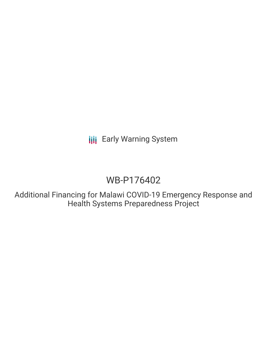**III** Early Warning System

# WB-P176402

Additional Financing for Malawi COVID-19 Emergency Response and Health Systems Preparedness Project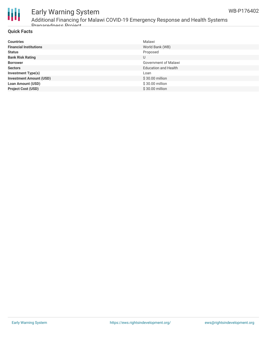

### Early Warning System Additional Financing for Malawi COVID-19 Emergency Response and Health Systems

**Quick Facts**

Preparedness Project

| <b>Countries</b>               | Malawi                      |
|--------------------------------|-----------------------------|
| <b>Financial Institutions</b>  | World Bank (WB)             |
| <b>Status</b>                  | Proposed                    |
| <b>Bank Risk Rating</b>        | U                           |
| <b>Borrower</b>                | Government of Malawi        |
| <b>Sectors</b>                 | <b>Education and Health</b> |
| <b>Investment Type(s)</b>      | Loan                        |
| <b>Investment Amount (USD)</b> | $$30.00$ million            |
| <b>Loan Amount (USD)</b>       | \$30.00 million             |
| <b>Project Cost (USD)</b>      | \$30.00 million             |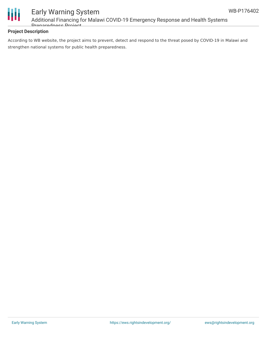

### Early Warning System Additional Financing for Malawi COVID-19 Emergency Response and Health Systems Preparedness Project

#### **Project Description**

According to WB website, the project aims to prevent, detect and respond to the threat posed by COVID-19 in Malawi and strengthen national systems for public health preparedness.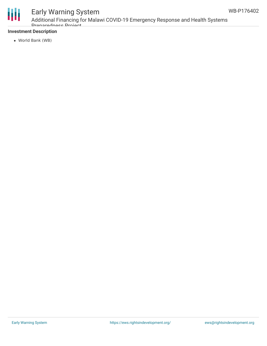

## Early Warning System

Additional Financing for Malawi COVID-19 Emergency Response and Health Systems Dranaradnass Draigot

#### **Investment Description**

World Bank (WB)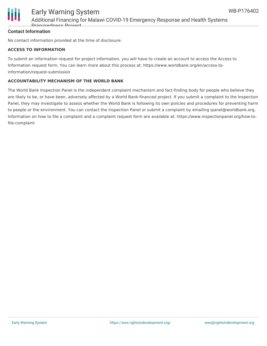

#### **Contact Information**

No contact information provided at the time of disclosure.

#### **ACCESS TO INFORMATION**

To submit an information request for project information, you will have to create an account to access the Access to Information request form. You can learn more about this process at: https://www.worldbank.org/en/access-toinformation/request-submission

#### **ACCOUNTABILITY MECHANISM OF THE WORLD BANK**

The World Bank Inspection Panel is the independent complaint mechanism and fact-finding body for people who believe they are likely to be, or have been, adversely affected by a World Bank-financed project. If you submit a complaint to the Inspection Panel, they may investigate to assess whether the World Bank is following its own policies and procedures for preventing harm to people or the environment. You can contact the Inspection Panel or submit a complaint by emailing ipanel@worldbank.org. Information on how to file a complaint and a complaint request form are available at: https://www.inspectionpanel.org/how-tofile-complaint